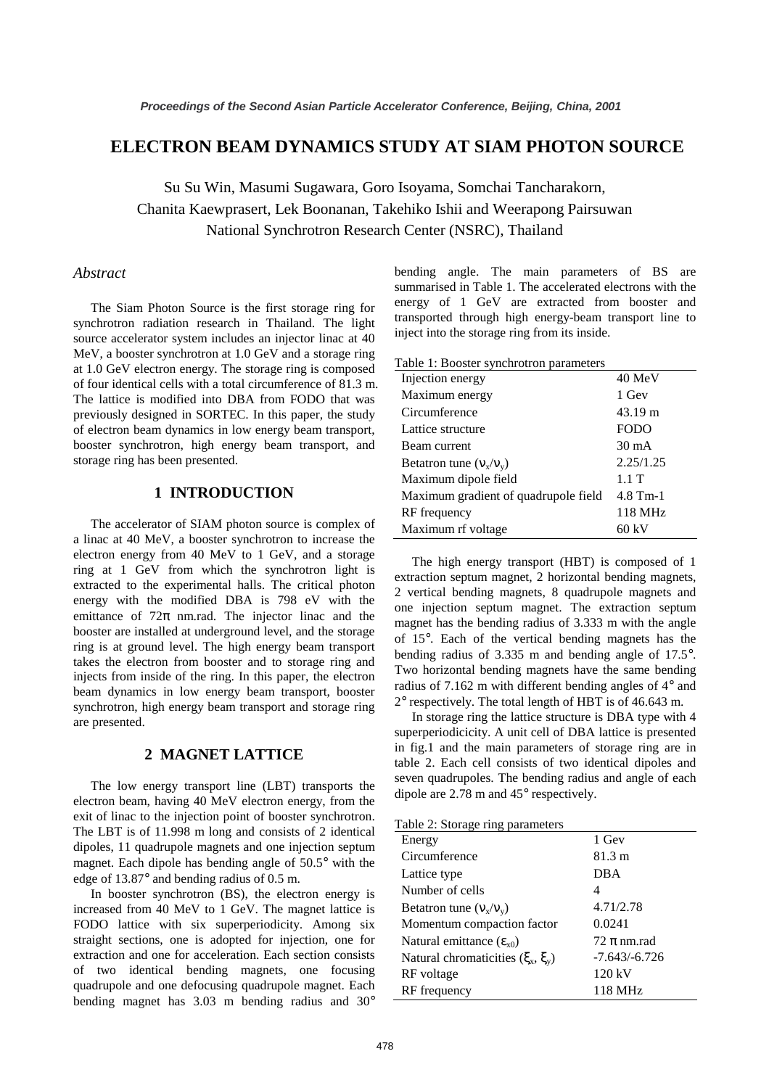# **ELECTRON BEAM DYNAMICS STUDY AT SIAM PHOTON SOURCE**

Su Su Win, Masumi Sugawara, Goro Isoyama, Somchai Tancharakorn, Chanita Kaewprasert, Lek Boonanan, Takehiko Ishii and Weerapong Pairsuwan National Synchrotron Research Center (NSRC), Thailand

## *Abstract*

The Siam Photon Source is the first storage ring for synchrotron radiation research in Thailand. The light source accelerator system includes an injector linac at 40 MeV, a booster synchrotron at 1.0 GeV and a storage ring at 1.0 GeV electron energy. The storage ring is composed of four identical cells with a total circumference of 81.3 m. The lattice is modified into DBA from FODO that was previously designed in SORTEC. In this paper, the study of electron beam dynamics in low energy beam transport, booster synchrotron, high energy beam transport, and storage ring has been presented.

## **1 INTRODUCTION**

The accelerator of SIAM photon source is complex of a linac at 40 MeV, a booster synchrotron to increase the electron energy from 40 MeV to 1 GeV, and a storage ring at 1 GeV from which the synchrotron light is extracted to the experimental halls. The critical photon energy with the modified DBA is 798 eV with the emittance of  $72\pi$  nm.rad. The injector linac and the booster are installed at underground level, and the storage ring is at ground level. The high energy beam transport takes the electron from booster and to storage ring and injects from inside of the ring. In this paper, the electron beam dynamics in low energy beam transport, booster synchrotron, high energy beam transport and storage ring are presented.

#### **2 MAGNET LATTICE**

The low energy transport line (LBT) transports the electron beam, having 40 MeV electron energy, from the exit of linac to the injection point of booster synchrotron. The LBT is of 11.998 m long and consists of 2 identical dipoles, 11 quadrupole magnets and one injection septum magnet. Each dipole has bending angle of 50.5° with the edge of 13.87° and bending radius of 0.5 m.

In booster synchrotron (BS), the electron energy is increased from 40 MeV to 1 GeV. The magnet lattice is FODO lattice with six superperiodicity. Among six straight sections, one is adopted for injection, one for extraction and one for acceleration. Each section consists of two identical bending magnets, one focusing quadrupole and one defocusing quadrupole magnet. Each bending magnet has 3.03 m bending radius and 30° bending angle. The main parameters of BS are summarised in Table 1. The accelerated electrons with the energy of 1 GeV are extracted from booster and transported through high energy-beam transport line to inject into the storage ring from its inside.

| Table 1: Booster synchrotron parameters |  |  |
|-----------------------------------------|--|--|
|-----------------------------------------|--|--|

| Injection energy                     | 40 MeV          |
|--------------------------------------|-----------------|
| Maximum energy                       | 1 Gev           |
| Circumference                        | 43.19 m         |
| Lattice structure                    | <b>FODO</b>     |
| Beam current                         | $30 \text{ mA}$ |
| Betatron tune $(v_x/v_y)$            | 2.25/1.25       |
| Maximum dipole field                 | 1.1T            |
| Maximum gradient of quadrupole field | $4.8$ Tm-1      |
| RF frequency                         | 118 MHz         |
| Maximum rf voltage                   | 60 kV           |

The high energy transport (HBT) is composed of 1 extraction septum magnet, 2 horizontal bending magnets, 2 vertical bending magnets, 8 quadrupole magnets and one injection septum magnet. The extraction septum magnet has the bending radius of 3.333 m with the angle of 15°. Each of the vertical bending magnets has the bending radius of 3.335 m and bending angle of 17.5°. Two horizontal bending magnets have the same bending radius of 7.162 m with different bending angles of 4° and 2° respectively. The total length of HBT is of 46.643 m.

In storage ring the lattice structure is DBA type with 4 superperiodicicity. A unit cell of DBA lattice is presented in fig.1 and the main parameters of storage ring are in table 2. Each cell consists of two identical dipoles and seven quadrupoles. The bending radius and angle of each dipole are 2.78 m and 45° respectively.

|  |  | Table 2: Storage ring parameters |
|--|--|----------------------------------|
|  |  |                                  |
|  |  |                                  |

| raone 2. biorage ring parameters        |                 |
|-----------------------------------------|-----------------|
| Energy                                  | 1 Gev           |
| Circumference                           | 81.3 m          |
| Lattice type                            | DBA             |
| Number of cells                         | 4               |
| Betatron tune $(v_x/v_y)$               | 4.71/2.78       |
| Momentum compaction factor              | 0.0241          |
| Natural emittance $(\epsilon_{x0})$     | $72 \pi$ nm.rad |
| Natural chromaticities $(\xi_x, \xi_y)$ | $-7.643/-6.726$ |
| RF voltage                              | 120 kV          |
| RF frequency                            | 118 MHz         |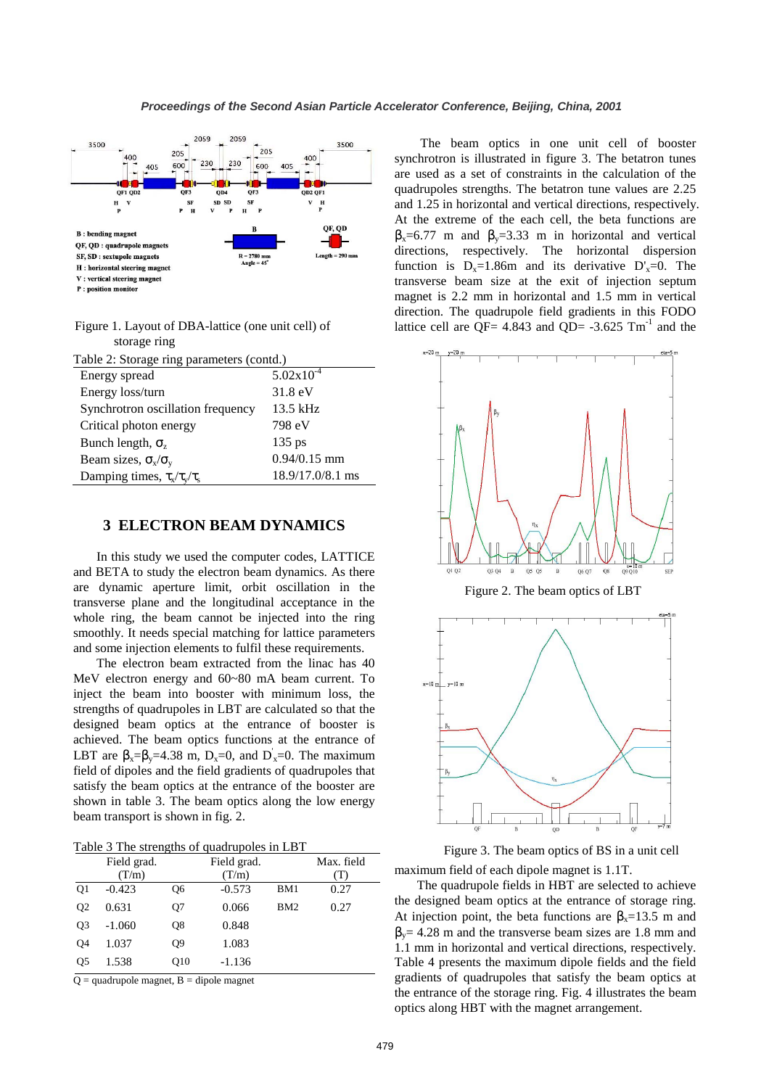

P : position monitor

 Figure 1. Layout of DBA-lattice (one unit cell) of storage ring

| Table 2: Storage ring parameters (contd.) |                       |  |  |
|-------------------------------------------|-----------------------|--|--|
| Energy spread                             | $5.02 \times 10^{-4}$ |  |  |
| Energy loss/turn                          | $31.8 \text{ eV}$     |  |  |
| Synchrotron oscillation frequency         | 13.5 kHz              |  |  |
| Critical photon energy                    | 798 eV                |  |  |
| Bunch length, $\sigma_z$                  | $135$ ps              |  |  |
| Beam sizes, $\sigma_x/\sigma_y$           | $0.94/0.15$ mm        |  |  |
| Damping times, $\tau_x/\tau_y/\tau_s$     | 18.9/17.0/8.1 ms      |  |  |

# **3 ELECTRON BEAM DYNAMICS**

In this study we used the computer codes, LATTICE and BETA to study the electron beam dynamics. As there are dynamic aperture limit, orbit oscillation in the transverse plane and the longitudinal acceptance in the whole ring, the beam cannot be injected into the ring smoothly. It needs special matching for lattice parameters and some injection elements to fulfil these requirements.

The electron beam extracted from the linac has 40 MeV electron energy and 60~80 mA beam current. To inject the beam into booster with minimum loss, the strengths of quadrupoles in LBT are calculated so that the designed beam optics at the entrance of booster is achieved. The beam optics functions at the entrance of LBT are  $\beta_x = \beta_y = 4.38$  m, D<sub>x</sub>=0, and D<sub>x</sub>=0. The maximum field of dipoles and the field gradients of quadrupoles that satisfy the beam optics at the entrance of the booster are shown in table 3. The beam optics along the low energy beam transport is shown in fig. 2.

|                | Field grad. |                 | Field grad. |     | Max. field |
|----------------|-------------|-----------------|-------------|-----|------------|
|                | (T/m)       |                 | (T/m)       |     | (T)        |
| Q <sub>1</sub> | $-0.423$    | О6              | $-0.573$    | BM1 | 0.27       |
| Q <sub>2</sub> | 0.631       | Q7              | 0.066       | BM2 | 0.27       |
| Q <sub>3</sub> | $-1.060$    | Q8              | 0.848       |     |            |
| Q4             | 1.037       | Q9              | 1.083       |     |            |
| O <sub>5</sub> | 1.538       | O <sub>10</sub> | $-1.136$    |     |            |

 $Q =$ quadrupole magnet, B = dipole magnet

 The beam optics in one unit cell of booster synchrotron is illustrated in figure 3. The betatron tunes are used as a set of constraints in the calculation of the quadrupoles strengths. The betatron tune values are 2.25 and 1.25 in horizontal and vertical directions, respectively. At the extreme of the each cell, the beta functions are  $β<sub>x</sub>=6.77$  m and  $β<sub>y</sub>=3.33$  m in horizontal and vertical directions, respectively. The horizontal dispersion function is  $D_x=1.86$ m and its derivative  $D'_x=0$ . The transverse beam size at the exit of injection septum magnet is 2.2 mm in horizontal and 1.5 mm in vertical direction. The quadrupole field gradients in this FODO lattice cell are QF= 4.843 and QD=  $-3.625$  Tm<sup>-1</sup> and the



Figure 2. The beam optics of LBT



maximum field of each dipole magnet is 1.1T. Figure 3. The beam optics of BS in a unit cell

The quadrupole fields in HBT are selected to achieve the designed beam optics at the entrance of storage ring. At injection point, the beta functions are  $\beta_x = 13.5$  m and  $\beta_y$  = 4.28 m and the transverse beam sizes are 1.8 mm and 1.1 mm in horizontal and vertical directions, respectively. Table 4 presents the maximum dipole fields and the field gradients of quadrupoles that satisfy the beam optics at the entrance of the storage ring. Fig. 4 illustrates the beam optics along HBT with the magnet arrangement.